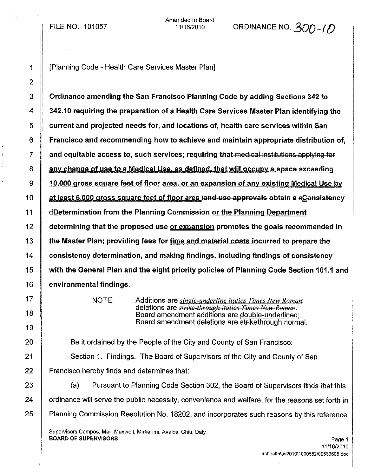FILE NO. 101057

Amended in Board

11/16/2010 ORDINANCE NO.  $300 - 6$ 

1 | Planning Code - Health Care Services Master Plan]

 Ordinance amending the San Francisco Planning Code by adding Sections 342 to 342.10 requiring the preparation of a Health Care Services Master Plan identifying the **current and projected needs for, and locations of, health care services within San**  $6 \parallel$  Francisco and recommending how to achieve and maintain appropriate distribution of,  $7 \parallel$  and equitable access to, such services; requiring that medical institutions applying for  $\parallel$  any change of use to a Medical Use, as defined, that will occupy a space exceeding  $9 \parallel 10,000$  gross square feet of floor area, or an expansion of any existing Medical Use by  $\parallel$  at least 5,000 gross square feet of floor area land use approvals obtain a  $e$ Consistency **dDetermination from the Planning Commission or the Planning Department**  determining that the proposed use or expansion promotes the goals recommended in  $\parallel$  the Master Plan; providing fees for time and material costs incurred to prepare the 14 Consistency determination, and making findings, including findings of consistency with the General Plan and the eight priority policies of Planning Code Section 101.1 and environmental findings.

NOTE: Additions are *single-underline italics Times New Roman;* deletions are *strilfe through italics Times Nell' Reman.* Board amendment additions are double-underlined; Board amendment deletions are strikethrough normal.

20 **Be it ordained by the People of the City and County of San Francisco:** 

21 Section 1. Findings. The Board of Supervisors of the City and County of San 22 Francisco hereby finds and determines that:

23 | (a) Pursuant to Planning Code Section 302, the Board of Supervisors finds that this 24 Cordinance will serve the public necessity, convenience and welfare, for the reasons set forth in 25 Planning Commission Resolution No. 18202, and incorporates such reasons by this reference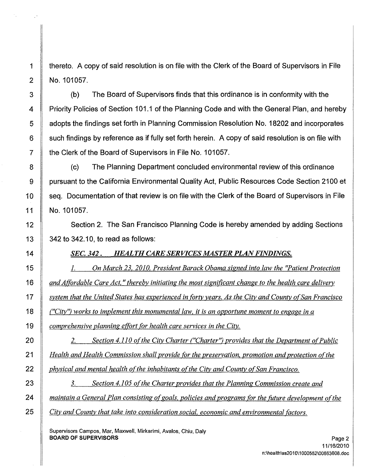1 | thereto. A copy of said resolution is on file with the Clerk of the Board of Supervisors in File 2 | No. 101057.

 (b) The Board of Supervisors finds that this ordinance is in conformity with the **Priority Policies of Section 101.1 of the Planning Code and with the General Plan, and hereby b** adopts the findings set forth in Planning Commission Resolution No. 18202 and incorporates such findings by reference as if fully set forth herein. A copy of said resolution is on file with **the Clerk of the Board of Supervisors in File No. 101057.** 

8 (c) The Planning Department concluded environmental review of this ordinance pursuant to the California Environmental Quality Act, Public Resources Code Section 2100 et 10 Seq. Documentation of that review is on file with the Clerk of the Board of Supervisors in File No. 101057.

12 Section 2. The San Francisco Planning Code is hereby amended by adding Sections 13  $\parallel$  342 to 342.10, to read as follows:

*SEC.* 342. *HEALTH CARE SERVICES MASTER PLANFINDINGS.*

 1. *On March* 23, *2010, President Barack Obama signed into law the "Patient Protection andAffordable Care Act,* " *thereby initiating the most significant change to the health care delivery* 17 System that the United States has experienced in forty years. As the City and County of San Francisco *("City"l works to implement this monumental law. it is an opportune moment to engage in a comprehensive planning effort for health care services in the City.* 

 2. *Section 4.110 ofthe City Charter ("Charter"l provides that the Department o[Public Health and Health Commission shall provide for the preservation, promotion and protection of the physical and mental health ofthe inhabitants ofthe City and County o[San Francisco.*

 3. *Section 4.105 ofthe Charter provides that the Planning Commission create and maintain a General Plan consisting o[goals. policies and programs fOr the future development ofthe City and County that take into consideration social, economic and environmental [actors.*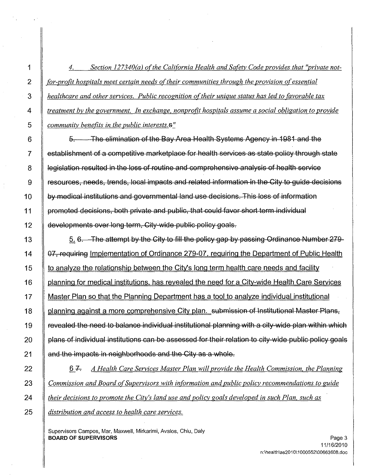4. *Section 127340(a) ofthe Cali(ornia Health and Safety Code provides that "private not- (or-profit hospitals meet certain needs oftheir communities through the provision ofessential healthcare and other services. Public recognition oftheir unique status has led to favorable tax treatment by the government. In exchange. nonprofit hospitals assume a social obligation to provide community benefits in the public interests.*s

**6** 5. The elimination of the Bay Area Health Systems Agency in 1981 and the establishment of a competitive marketplace for health services as state policy through state 8 | legislation resulted in the loss of routine and comprehensive analysis of health service resources, needs, trends, local impacts and related information in the City to guide decisions by medical institutions and governmental land use decisions. This loss of information 11 | promoted decisions, both private and public, that could favor short term individual developments over long term, City wide public policy goals.

13  $\parallel$  5. 6. The attempt by the City to fill the policy gap by passing Ordinance Number 279-14 | 07, requiring Implementation of Ordinance 279-07, requiring the Department of Public Health 15 to analyze the relationship between the City's long term health care needs and facility **If planning for medical institutions**, has revealed the need for a City-wide Health Care Services 17 | Master Plan so that the Planning Department has a tool to analyze individual institutional 18 | planning against a more comprehensive City plan. submission of Institutional Master Plans, *revealed the need to balance individual institutional planning with a city-wide plan within which*  plans of individual institutions can be assessed for their relation to city wide public policy goals **and the impacts in neighborhoods and the City as a whole.** 

 6 *A Health Care Services Master Plan will provide the Health Commission. the Planning Commission and Board ofSupervisors with in(ormation and public policy recommendations to guide their decisions to promote the City's land use and poliey goals developed in such Plan. such as distribution and access to health care services.*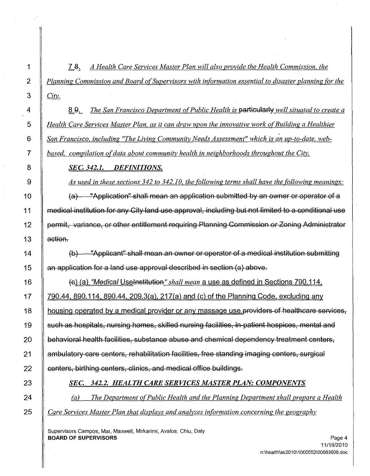7 g~ *A Health Care Services Master Plan will also provide the Health Commission, the Planning Commission and Board ofSupervisors with information essential to disaster planning for the City.*

 8 S,- *The San Francisco Department ofPublic Health is* particularly *well situated to create a Health Care Services Master Plan, as it can draw upon the innovative work ofBuilding a Healthier San Francisco, including "The Living Community Needs Assessment" which is an up-to-date, web-based, compilation ofdata about community health in neighborhoods throughout the City.*

# *SEC.* 342.1. *DEFINITIONS.*

*As used in these sections* 342 *to 342.10, the following terms shall have the following meanings:*

10  $\parallel$  (a) "Application" shall mean an application submitted by an owner or operator of a medical institution for any City land use approval, including but not limited to a conditional use 12 | permit, variance, or other entitlement requiring Planning Commission or Zoning Administrator **action.** 

 $\parallel$  (b) "Applicant" shall mean an owner or operator of a medical institution submitting **an application for a land use approval described in section (a) above.** 

 (B) (a) *"Medical* Uselnstitution"*shall mean* a use as defined in *Sections 790.114.* 17 | 790.44, 890.114, 890.44, 209.3(a), 217(a) and (c) of the Planning Code, excluding any 18 | housing operated by a medical provider or any massage use providers of healthcare services, 19 Such as hospitals, nursing homes, skilled nursing facilities, in-patient hospices, mental and **behavioral health facilities, substance abuse and chemical dependency treatment centers,** 21 Ambulatory care centers, rehabilitation facilities, free standing imaging centers, surgical **centers, birthing centers, clinics, and medical office buildings.** 

# *SEC.* 342.2. *HEALTH CARE SERVICES MASTER PLAN: COMPONENTS*

 *Cal The Department ofPublic Health and the Planning Department shall prepare a Health Care Services Master Plan that displays and analyzes information concerning the geography*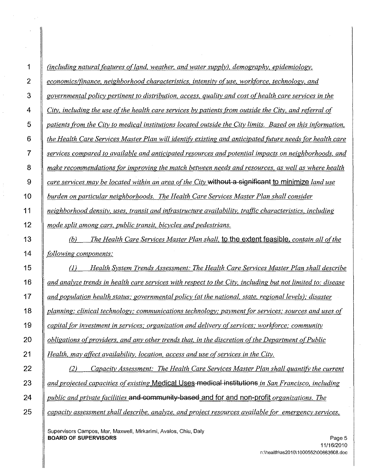| (including natural features of land, weather, and water supply), demography, epidemiology,                 |
|------------------------------------------------------------------------------------------------------------|
| economics/finance, neighborhood characteristics, intensity of use, workforce, technology, and              |
| governmental policy pertinent to distribution, access, quality and cost of health care services in the     |
| City, including the use of the health care services by patients from outside the City, and referral of     |
| patients from the City to medical institutions located outside the City limits. Based on this information, |
| the Health Care Services Master Plan will identify existing and anticipated future needs for health care   |
| services compared to available and anticipated resources and potential impacts on neighborhoods, and       |
| make recommendations for improving the match between needs and resources, as well as where health          |
| care services may be located within an area of the City without a significant to minimize land use         |
| burden on particular neighborhoods. The Health Care Services Master Plan shall consider                    |
| neighborhood density, uses, transit and infrastructure availability, traffic characteristics, including    |
| mode split among cars, public transit, bicycles and pedestrians.                                           |
| The Health Care Services Master Plan shall, to the extent feasible, contain all of the<br>(b)              |
| following components:                                                                                      |
| Health System Trends Assessment: The Health Care Services Master Plan shall describe<br>$\left( l\right)$  |
| and analyze trends in health care services with respect to the City, including but not limited to: disease |
| and population health status; governmental policy (at the national, state, regional levels); disaster      |
| planning; clinical technology; communications technology; payment for services; sources and uses of        |
| capital for investment in services; organization and delivery of services; workforce; community            |
| obligations of providers, and any other trends that, in the discretion of the Department of Public         |
| Health, may affect availability, location, access and use of services in the City.                         |
| Capacity Assessment: The Health Care Services Master Plan shall quantify the current<br>(2)                |
| and projected capacities of existing Medical Uses-medical institutions in San Francisco, including         |
| public and private facilities and community-based and for and non-profit organizations. The                |
| capacity assessment shall describe, analyze, and project resources available for emergency services,       |
|                                                                                                            |

Supervisors Campos, Mar, Maxwell, Mirkarimi, Avalos, Chiu, Daly BOARD OF SUPERVISORS

 $\sim$ 

 $\bar{z}$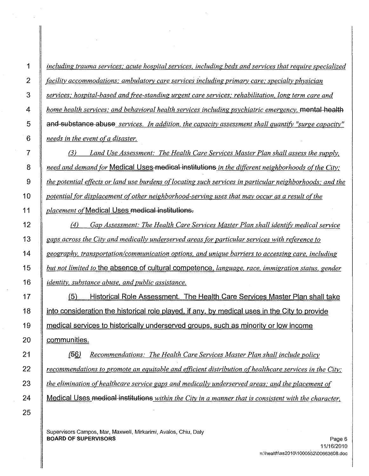*including trauma services; acute hospital services, including beds and services that require specialized facility accommodations; ambulatorv care services including primarv care; specialty physician services; hospital-based and (ree-standing urgent care services; rehabilitation, long term care and home health services; and behavioral health services including psychiatric emergency,* mental health and substance abuse *services. In addition, the capacity assessment shall quantifY "surge capacity" needs in the event ofa disaster.*

 (3) *Land Use Assessment; The Health Care Services Master Plan shall assess the supply, need and demand for* Medical Uses medical institutions *in the di(ferent neighborhoods o{the City; the potential e(fects or land use burdens oflocating such services in particular neighborhoods; and the potential for displacement of other neighborhood-serving uses that may occur as a result of the placement of*Medical Uses medical institutions.

 (4) *Gap Assessment; The Health Care Services Master Plan shall identifY. medical service gaps across the City and medically underserved areas for particular services with reference to geography, transportation!communication options, and unique barriers to accessing care, including but not limited to* the absence of cultural competence. *language, race, immigration status, gender identity, substance abuse, and public assistance.*

**(5)** Historical Role Assessment. The Health Care Services Master Plan shall take  $\parallel$  into consideration the historical role played, if any, by medical uses in the City to provide **medical services to historically underserved groups, such as minority or low income communities**.

 La§). *Recommendations: The Health Care Services Master Plan shall include policy recommendations to promote an equitable and emcient distribution ofhealthcare services in the City; the elimination ofhealthcare service gaps and medically underserved areas; and the placement of* Medical Uses medical institutions *within the City in a manner that is consistent with the character,*

Supervisors Campos, Mar, Maxwell, Mirkarimi, Avalos, Chiu, Daly BOARD OF SUPERVISORS And the state of the state of the state of the state of the state of the state of the state of the state of the state of the state of the state of the state of the state of the state of the state of th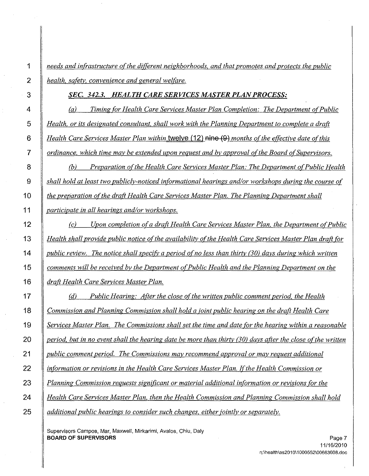*needs and infrastructure ofthe ditferent neighborhoods, and that promotes and protects the public health, safety, convenience and general welfare.*

#### *SEC.* 342.3. *HEALTH CARE SERVICES MASTER PLANPROCESS:*

 (a) *Timing for Health Care Services Master Plan Completion: The Department oCPublic Health, or its designated consultant, shall work with the Planning Department to complete a draft Health Care Services Master Plan within* twelve (12) nine (9) *months ofthe etfective date ofthis ordinance, which time may be extended upon request and by approval ofthe Board ofSupervisors.*

 *(b) Preparation ofthe Health Care Services Master Plan: The Department ofPublic Health shall hold at least two publicly-noticed informational hearings and/or workshops during the course of the preparation ofthe draft Health Care Services Master Plan. The Planning Department shall participate in all hearings and/or workshops.*

 $\vert$  (c) *Upon completion of a draft Health Care Services Master Plan, the Department of Public Health shall provide public notice ofthe availability ofthe Health Care Services Master Plan draa for* 14 | public review. The notice shall specify a period of no less than thirty (30) days during which written *comments* will be received by the Department of Public Health and the Planning Department on the *draft Health Care Services Master Plan.*

 *(d) Public Hearing: After the close ofthe written public comment period, the Health Commission and Planning Commission shall hold a joint public hearing on the draft Health Care* 19 Services Master Plan. The Commissions shall set the time and date for the hearing within a reasonable 20 | period, but in no event shall the hearing date be more than thirty (30) days after the close of the written *public comment period. The Commissions may recommend approval or may request additional information or revisions in the Health Care Services Master Plan. [fthe Health Commission or Planning Commission requests significant or material additional information or revisions for the Health Care Services Master Plan, then the Health Commission and Planning Commission shall hold additional public hearings to consider such changes. either jointly or separately.*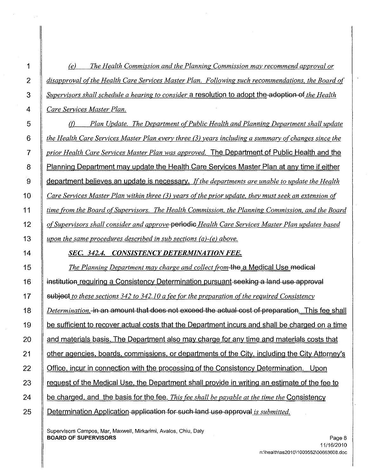| 1               | The Health Commission and the Planning Commission may recommend approval or<br>(e)                   |
|-----------------|------------------------------------------------------------------------------------------------------|
| $\overline{c}$  | disapproval of the Health Care Services Master Plan. Following such recommendations, the Board of    |
| 3               | Supervisors shall schedule a hearing to consider a resolution to adopt the adoption of the Health    |
| 4               | Care Services Master Plan.                                                                           |
| 5               | Plan Update. The Department of Public Health and Planning Department shall update<br>(f)             |
| 6               | the Health Care Services Master Plan every three (3) years including a summary of changes since the  |
| $\overline{7}$  | prior Health Care Services Master Plan was approved. The Department of Public Health and the         |
| 8               | Planning Department may update the Health Care Services Master Plan at any time if either            |
| 9               | department believes an update is necessary. If the departments are unable to update the Health       |
| 10 <sub>1</sub> | Care Services Master Plan within three (3) years of the prior update, they must seek an extension of |
| 11              | time from the Board of Supervisors. The Health Commission, the Planning Commission, and the Board    |
| 12              | of Supervisors shall consider and approve-periodic Health Care Services Master Plan updates based    |
| 13              | upon the same procedures described in sub sections $(a)$ - $(e)$ above.                              |
| 14              | SEC. 342.4. CONSISTENCY DETERMINATION FEE.                                                           |
| 15              | The Planning Department may charge and collect from the a Medical Use medical                        |
| 16              | institution requiring a Consistency Determination pursuant seeking a land use approval               |
| 17              | subject to these sections 342 to 342.10 a fee for the preparation of the required Consistency        |
| 18              | Determination, in an amount that does not exceed the actual cost of preparation. This fee shall      |
| 19              | be sufficient to recover actual costs that the Department incurs and shall be charged on a time      |
| 20              | and materials basis. The Department also may charge for any time and materials costs that            |
| 21              | other agencies, boards, commissions, or departments of the City, including the City Attorney's       |
| 22              | Office, incur in connection with the processing of the Consistency Determination. Upon               |
| 23              | request of the Medical Use, the Department shall provide in writing an estimate of the fee to        |
| 24              | be charged, and the basis for the fee. This fee shall be payable at the time the Consistency         |
| 25              | Determination Application application for such land use approval is submitted.                       |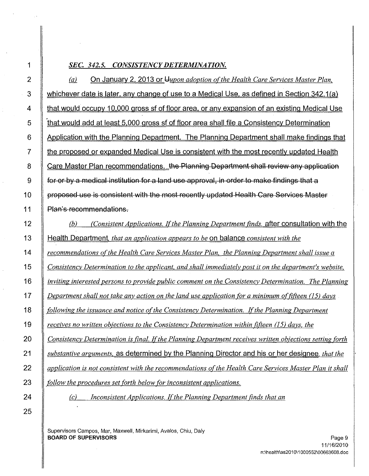# *SEC.* 342.5. *CONSISTENCYDETERMINATION.*

On January 2. 2013 or *JJ.upon adoption ofthe Health Care Services Master Plan,*  $(a)$ 3 whichever date is later. any change of use to a Medical Use. as defined in Section 342.1 (a) 4 that would occupy 10.000 gross sf of floor area. or any expansion of an existing Medical Use 5 **that would add at least 5.000 gross sf of floor area shall file a Consistency Determination** 6 Application with the Planning Department. The Planning Department shall make findings that 7 the proposed or expanded Medical Use is consistent with the most recently updated Health 8 Care Master Plan recommendations. the Planning Department shall review any application 9 for or by a medical institution for a land use approval, in order to make findings that a 10 | proposed use is consistent with the most recently updated Health Care Services Master 11 | Plan's recommendations. 12 (b) *(Consistent Applications. Ifthe Planning Department finds.* after consultation with the

 Health Department, *that an application appears to be* on balance *consistent with the recommendations ofthe Health Care Services Master Plan, the Planning Department shall issue a Consistency Determination to the applicant, and shall immediately post it on the department's website,* **i**l *inviting interested persons to provide public comment on the Consistency Determination. The Planning* 17 | Department shall not take any action on the land use application for a minimum of fifteen (15) days *following the issuance and notice ofthe Consistency Determination. Ifthe Planning Department receives no written obiections to the Consistency Determination within fifteen 05) days. the Consistency Determination is final. Ifthe Planning Department receives written objections setting forth substantive arguments.* as determined by the Planning Director and his or her designee, *that the* **a** *application is not consistent with the recommendations of the Health Care Services Master Plan it shall follow the procedures set forth below for inconsistent applications.* (c) *Inconsistent Applications. Ifthe Planning Department finds that an*

1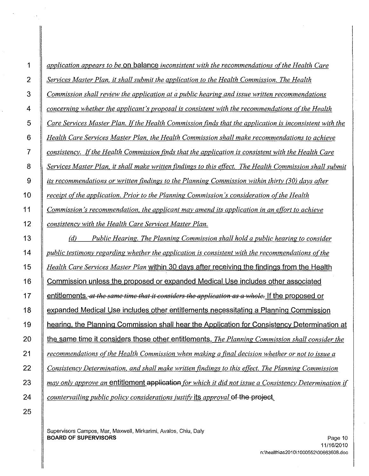| 1                 | application appears to be on balance inconsistent with the recommendations of the Health Care           |
|-------------------|---------------------------------------------------------------------------------------------------------|
| $\overline{2}$    | Services Master Plan, it shall submit the application to the Health Commission. The Health              |
| $\mathbf{3}$      | Commission shall review the application at a public hearing and issue written recommendations           |
| 4                 | concerning whether the applicant's proposal is consistent with the recommendations of the Health        |
| 5                 | Care Services Master Plan. If the Health Commission finds that the application is inconsistent with the |
| 6                 | Health Care Services Master Plan, the Health Commission shall make recommendations to achieve           |
| 7                 | consistency. If the Health Commission finds that the application is consistent with the Health Care     |
| 8                 | Services Master Plan, it shall make written findings to this effect. The Health Commission shall submit |
| 9                 | its recommendations or written findings to the Planning Commission within thirty (30) days after        |
| 10                | receipt of the application. Prior to the Planning Commission's consideration of the Health              |
| 11                | Commission's recommendation, the applicant may amend its application in an effort to achieve            |
| $12 \overline{ }$ | consistency with the Health Care Services Master Plan.                                                  |
| 13                | (d)<br>Public Hearing. The Planning Commission shall hold a public hearing to consider                  |
| 14                | public testimony regarding whether the application is consistent with the recommendations of the        |
| 15                | Health Care Services Master Plan within 30 days after receiving the findings from the Health            |
| 16                | Commission unless the proposed or expanded Medical Use includes other associated                        |
| 17                | entitlements. at the same time that it considers the application as a whole. If the proposed or         |
| 18                | expanded Medical Use includes other entitlements necessitating a Planning Commission                    |
| 19                | hearing, the Planning Commission shall hear the Application for Consistency Determination at            |
| 20                | the same time it considers those other entitlements. The Planning Commission shall consider the         |
| 21                | recommendations of the Health Commission when making a final decision whether or not to issue a         |
| 22                | Consistency Determination, and shall make written findings to this effect. The Planning Commission      |
| 23                | may only approve an entitlement application for which it did not issue a Consistency Determination if   |
| 24                | countervailing public policy considerations justify its approval of the project.                        |
|                   |                                                                                                         |

Supervisors Campos, Mar, Maxwell, Mirkarimi, Avaios, Chiu, Daly **BOARD OF SUPERVISORS** Page 10 **Page 10** Page 10 **Page 10**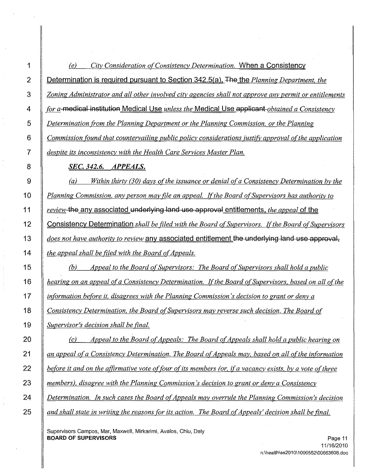| 1              | City Consideration of Consistency Determination. When a Consistency<br>(e)                                |
|----------------|-----------------------------------------------------------------------------------------------------------|
| $\overline{c}$ | Determination is required pursuant to Section 342.5(a). The the Planning Department, the                  |
| 3              | Zoning Administrator and all other involved city agencies shall not approve any permit or entitlements    |
| 4              | for a-medical institution Medical Use unless the Medical Use applicant-obtained a Consistency             |
| 5              | Determination from the Planning Department or the Planning Commission, or the Planning                    |
| 6              | Commission found that countervailing public policy considerations justify approval of the application     |
| 7              | despite its inconsistency with the Health Care Services Master Plan.                                      |
| 8              | <b>SEC. 342.6. APPEALS.</b>                                                                               |
| 9              | (a)<br>Within thirty (30) days of the issuance or denial of a Consistency Determination by the            |
| 10             | Planning Commission, any person may file an appeal. If the Board of Supervisors has authority to          |
| 11             | review-the any associated underlying land use approval entitlements, the appeal of the                    |
| 12             | Consistency Determination shall be filed with the Board of Supervisors. If the Board of Supervisors       |
| 13             | does not have authority to review any associated entitlement the underlying land use approval,            |
| 14             | the appeal shall be filed with the Board of Appeals.                                                      |
| 15             | Appeal to the Board of Supervisors: The Board of Supervisors shall hold a public<br>(b)                   |
| 16             | hearing on an appeal of a Consistency Determination. If the Board of Supervisors, based on all of the     |
| 17             | information before it, disagrees with the Planning Commission's decision to grant or deny a               |
| 18             | Consistency Determination, the Board of Supervisors may reverse such decision. The Board of               |
| 19             | Supervisor's decision shall be final.                                                                     |
| 20             | Appeal to the Board of Appeals: The Board of Appeals shall hold a public hearing on<br>(c)                |
| 21             | an appeal of a Consistency Determination. The Board of Appeals may, based on all of the information       |
| 22             | before it and on the affirmative vote of four of its members (or, if a vacancy exists, by a vote of three |
| 23             | members), disagree with the Planning Commission's decision to grant or deny a Consistency                 |
| 24             | Determination. In such cases the Board of Appeals may overrule the Planning Commission's decision         |
| 25             | and shall state in writing the reasons for its action. The Board of Appeals' decision shall be final.     |
|                |                                                                                                           |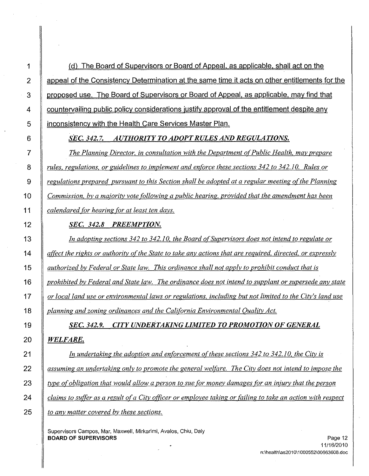1  $\parallel$  (d) The Board of Supervisors or Board of Appeal. as applicable. shall act on the 2 Appeal of the Consistency Determination at the same time it acts on other entitlements for the 3 proposed use. The Board of Supervisors or Board of Appeal, as applicable, may find that 4 Countervailing public policy considerations justify approval of the entitlement despite any 5 | inconsistency with the Health Care Services Master Plan.

### 6 *SEC.* 342.7. *AUTHORITY TO ADOPTRULES AND REGULATIONS.*

 *The Planning Director. in consultation with the Department ofPublic Health. may prepare rules. regulations. or guidelines to implement and enforce these sections* 342 *to 342.10. Rules or regulations prepared pursuant to this Section shall be adopted at a regular meeting ofthe Planning Commission. by a majority vote following a public hearing. provided that the amendment has been calendared for hearing for at least ten days.*

# 12 *SEC.* 342.8 *PREEMPTION.*

13 *In adopting sections* 342 *to 342.10. the Board ofSupervisors does not intend to regulate or* 14  $\parallel$  affect the rights or authority of the State to take any actions that are required, directed, or expressly *15 authorized by Federal or State law. This ordinance shall not apply to prohibit conduct that is*

16 | prohibited by Federal and State law. The ordinance does not intend to supplant or supersede any state

17  $\parallel$  or local land use or environmental laws or regulations, including but not limited to the City's land use *18 planning and zoning ordinances and the California Environmental Quality Act.*

19 *SEC.* 342.9. *CITY UNDERTAKING LIMITED TO PROMOTION OF GENERAL*

### *20 WELFARE.*

 *In undertaking the adoption and enforcement ofthese sections* 342 *to 342.10. the City is*  $\parallel$  assuming an undertaking only to promote the general welfare. The City does not intend to impose the  $\parallel$  type of obligation that would allow a person to sue for money damages for an injury that the person  $\parallel$  claims to suffer as a result of a City officer or employee taking or failing to take an action with respect *to any matter covered by these sections.*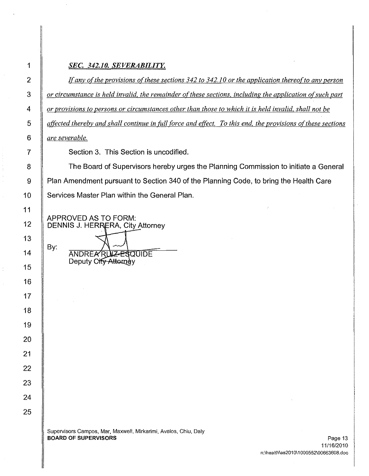| 1               | SEC. 342.10. SEVERABILITY.                                                                                  |
|-----------------|-------------------------------------------------------------------------------------------------------------|
| $\overline{2}$  | If any of the provisions of these sections $342$ to $342.10$ or the application thereof to any person       |
| 3               | or circumstance is held invalid, the remainder of these sections, including the application of such part    |
| 4               | or provisions to persons or circumstances other than those to which it is held invalid, shall not be        |
| 5               | affected thereby and shall continue in full force and effect. To this end, the provisions of these sections |
| 6               | <i><u>are severable.</u></i>                                                                                |
| 7               | Section 3. This Section is uncodified.                                                                      |
| 8               | The Board of Supervisors hereby urges the Planning Commission to initiate a General                         |
| 9               | Plan Amendment pursuant to Section 340 of the Planning Code, to bring the Health Care                       |
| 10 <sup>1</sup> | Services Master Plan within the General Plan.                                                               |
| 11              | APPROVED AS TO FORM:                                                                                        |
| $12 \,$         | DENNIS J. HERRERA, City Attorney                                                                            |
| 13              |                                                                                                             |
| 14              | By:<br>ANDREARUZ-ESQUIDE<br>Deputy City Attorney                                                            |
| 15              |                                                                                                             |
| 16              |                                                                                                             |
| 17              |                                                                                                             |
| 18              |                                                                                                             |
| 19              |                                                                                                             |
| 20              |                                                                                                             |
| 21              |                                                                                                             |
| 22              |                                                                                                             |
| 23              |                                                                                                             |
| 24              |                                                                                                             |
| 25              |                                                                                                             |
|                 | Supervisors Campos, Mar, Maxwell, Mirkarimi, Avalos, Chiu, Daly                                             |
|                 | <b>BOARD OF SUPERVISORS</b><br>Page 13<br>11/16/2010                                                        |

I

1

 $\frac{1}{2}$ 

 $\frac{1}{2}$ à,  $\bar{z}$ 

 $\sim$ 

 $\hat{\mathcal{E}}$ 

 $\sim$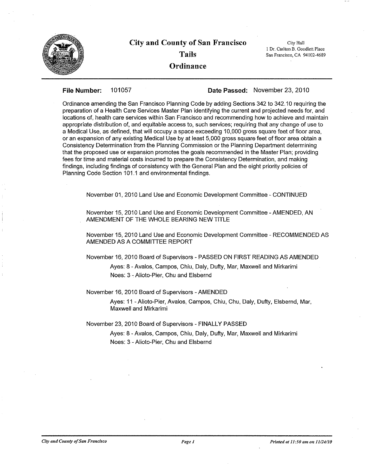

# **City and County of San Francisco Tails Ordinance**

City Hall **1Dr. Carlton B. Goodlett Place San Francisco, CA 94 I**02~4689

**File Number: 101057 Date Passed:** November 23,2010

Ordinance amending the San Francisco Planning Code by adding Sections 342 to 342.10 requiring the preparation of a Health Care Services Master Plan identifying the current and projected needs for, and locations of, health care services within San Francisco and recommending how to achieve and maintain appropriate distribution of, and equitable access to, such services; requiring that any change of use to a Medical Use, as defined, that will occupy a space exceeding 10,000 gross square feet of floor area, or an expansion of any existing Medical Use by at least 5,000 gross square feet of floor area obtain a Consistency Determination from the Planning Commission or the Planning Department determining that the proposed use or expansion promotes the goals recommended in the Master Plan; providing fees for time and material costs incurred to prepare the Consistency Determination, and making findings, including findings of consistency with the General Plan and the eight priority policies of Planning Code Section 101.1 and environmental findings.

November 01, 2010 Land Use and Economic Development Committee - CONTINUED

November 15,2010 Land Use and Economic Development Committee -AMENDED, AN AMENDMENT OF THE WHOLE BEARING NEW TITLE

November 15, 2010 Land Use and Economic Development Committee - RECOMMENDED AS AMENDED AS A COMMITTEE REPORT

November 16,2010 Board of Supervisors - PASSED ON FIRST READING AS AMENDED

Ayes: 8 - Avalos, Campos, Chiu, Daly, Dufty, Mar, Maxwell and Mirkarimi Noes: 3 - Alioto-Pier, Chu and Elsbernd

November 16, 2010 Board of Supervisors - AMENDED

Ayes: 11 - Alioto-Pier, Avalos, Campos, Chiu, Chu, Daly, Dufty, Elsbernd, Mar, Maxwell and Mirkarimi

November 23, 2010 Board of Supervisors - FINALLY PASSED

Ayes: 8 - Avalos, Campos, Chiu, Daly, Dufty, Mar, Maxwell and Mirkarimi Noes: 3 - Alioto-Pier, Chu and Elsbernd